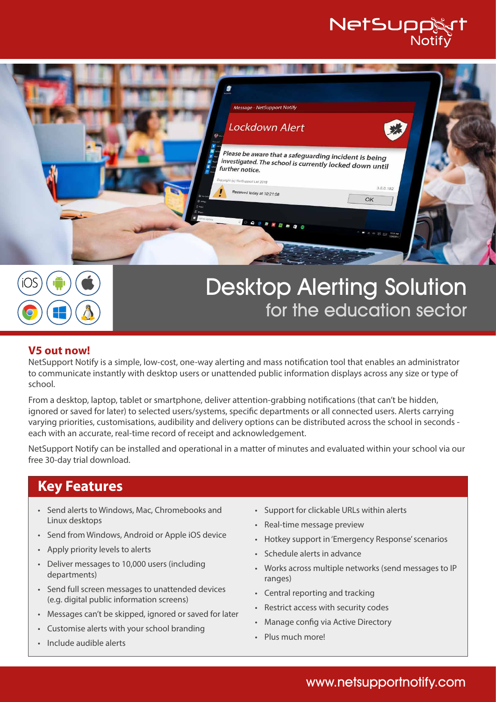# NetSupp





# Desktop Alerting Solution for the education sector

#### **V5 out now!**

NetSupport Notify is a simple, low-cost, one-way alerting and mass notification tool that enables an administrator to communicate instantly with desktop users or unattended public information displays across any size or type of school.

From a desktop, laptop, tablet or smartphone, deliver attention-grabbing notifications (that can't be hidden, ignored or saved for later) to selected users/systems, specific departments or all connected users. Alerts carrying varying priorities, customisations, audibility and delivery options can be distributed across the school in seconds each with an accurate, real-time record of receipt and acknowledgement.

NetSupport Notify can be installed and operational in a matter of minutes and evaluated within your school via our free 30-day trial download.

## **Key Features**

- Send alerts to Windows, Mac, Chromebooks and Linux desktops
- Send from Windows, Android or Apple iOS device
- Apply priority levels to alerts
- Deliver messages to 10,000 users (including departments)
- Send full screen messages to unattended devices (e.g. digital public information screens)
- Messages can't be skipped, ignored or saved for later
- Customise alerts with your school branding
- Include audible alerts
- Support for clickable URLs within alerts
- Real-time message preview
- Hotkey support in 'Emergency Response' scenarios
- Schedule alerts in advance
- Works across multiple networks (send messages to IP ranges)
- Central reporting and tracking
- Restrict access with security codes
- Manage config via Active Directory
- Plus much more!

### www.netsupportnotify.com